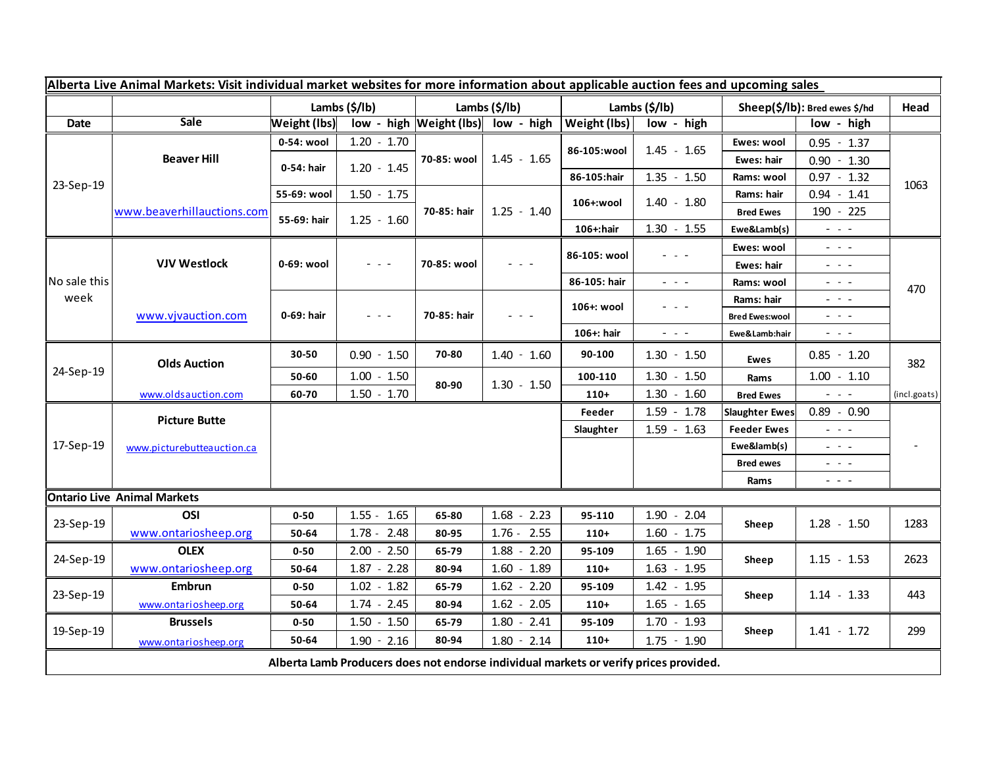| Alberta Live Animal Markets: Visit individual market websites for more information about applicable auction fees and upcoming sales |                                                    |               |               |               |                                                                                                                           |                     |                                                                                                                           |                               |                                                                                                                                                                                                                                                                                                                                                                                                                                                |              |
|-------------------------------------------------------------------------------------------------------------------------------------|----------------------------------------------------|---------------|---------------|---------------|---------------------------------------------------------------------------------------------------------------------------|---------------------|---------------------------------------------------------------------------------------------------------------------------|-------------------------------|------------------------------------------------------------------------------------------------------------------------------------------------------------------------------------------------------------------------------------------------------------------------------------------------------------------------------------------------------------------------------------------------------------------------------------------------|--------------|
|                                                                                                                                     |                                                    | Lambs (\$/lb) |               | Lambs (\$/lb) |                                                                                                                           | Lambs (\$/lb)       |                                                                                                                           | Sheep(\$/lb): Bred ewes \$/hd |                                                                                                                                                                                                                                                                                                                                                                                                                                                | Head         |
| <b>Date</b>                                                                                                                         | Sale                                               | Weight (lbs)  |               |               | low - high Weight (lbs) low - high                                                                                        | <b>Weight (lbs)</b> | low - high                                                                                                                |                               | low - high                                                                                                                                                                                                                                                                                                                                                                                                                                     |              |
| 23-Sep-19                                                                                                                           | <b>Beaver Hill</b>                                 | 0-54: wool    | $1.20 - 1.70$ | 70-85: wool   | $1.45 - 1.65$                                                                                                             | 86-105:wool         | $1.45 - 1.65$                                                                                                             | Ewes: wool                    | $0.95 - 1.37$                                                                                                                                                                                                                                                                                                                                                                                                                                  |              |
|                                                                                                                                     |                                                    | 0-54: hair    | $1.20 - 1.45$ |               |                                                                                                                           |                     |                                                                                                                           | Ewes: hair                    | $0.90 - 1.30$                                                                                                                                                                                                                                                                                                                                                                                                                                  |              |
|                                                                                                                                     |                                                    |               |               |               |                                                                                                                           | 86-105:hair         | $1.35 - 1.50$                                                                                                             | Rams: wool                    | $0.97 - 1.32$                                                                                                                                                                                                                                                                                                                                                                                                                                  | 1063         |
|                                                                                                                                     | www.beaverhillauctions.com                         | 55-69: wool   | $1.50 - 1.75$ | 70-85: hair   | $1.25 - 1.40$                                                                                                             | 106+:wool           | $1.40 - 1.80$                                                                                                             | Rams: hair                    | $0.94 - 1.41$                                                                                                                                                                                                                                                                                                                                                                                                                                  |              |
|                                                                                                                                     |                                                    | 55-69: hair   | $1.25 - 1.60$ |               |                                                                                                                           |                     |                                                                                                                           | <b>Bred Ewes</b>              | 190 - 225                                                                                                                                                                                                                                                                                                                                                                                                                                      |              |
|                                                                                                                                     |                                                    |               |               |               |                                                                                                                           | 106+:hair           | $1.30 - 1.55$                                                                                                             | Ewe&Lamb(s)                   | $\omega_{\rm{max}}$ and $\omega_{\rm{max}}$                                                                                                                                                                                                                                                                                                                                                                                                    |              |
| No sale this<br>week                                                                                                                | <b>VJV Westlock</b>                                | 0-69: wool    | $ -$          | 70-85: wool   | $\frac{1}{2} \left( \frac{1}{2} \right) \left( \frac{1}{2} \right) \left( \frac{1}{2} \right) \left( \frac{1}{2} \right)$ | 86-105: wool        | $  -$                                                                                                                     | Ewes: wool                    | $\sim$ 100 $\sim$                                                                                                                                                                                                                                                                                                                                                                                                                              |              |
|                                                                                                                                     |                                                    |               |               |               |                                                                                                                           |                     |                                                                                                                           | Ewes: hair                    | $\omega_{\rm{eff}}$ and $\omega_{\rm{eff}}$                                                                                                                                                                                                                                                                                                                                                                                                    |              |
|                                                                                                                                     |                                                    |               |               |               |                                                                                                                           | 86-105: hair        | $\omega_{\rm{eff}}$ and $\omega_{\rm{eff}}$                                                                               | Rams: wool                    | $\frac{1}{2} \left( \frac{1}{2} \right) \frac{1}{2} \left( \frac{1}{2} \right) \frac{1}{2} \left( \frac{1}{2} \right) \frac{1}{2} \left( \frac{1}{2} \right) \frac{1}{2} \left( \frac{1}{2} \right) \frac{1}{2} \left( \frac{1}{2} \right) \frac{1}{2} \left( \frac{1}{2} \right) \frac{1}{2} \left( \frac{1}{2} \right) \frac{1}{2} \left( \frac{1}{2} \right) \frac{1}{2} \left( \frac{1}{2} \right) \frac{1}{2} \left( \frac{1}{2} \right)$ | 470          |
|                                                                                                                                     | www.vjvauction.com                                 | 0-69: hair    | $  -$         | 70-85: hair   | $\frac{1}{2} \left( \frac{1}{2} \right) \frac{1}{2} \left( \frac{1}{2} \right) \frac{1}{2} \left( \frac{1}{2} \right)$    | 106+: wool          | $  -$                                                                                                                     | Rams: hair                    | $\frac{1}{2} \left( \frac{1}{2} \right) \frac{1}{2} \left( \frac{1}{2} \right) \frac{1}{2} \left( \frac{1}{2} \right) \frac{1}{2} \left( \frac{1}{2} \right) \frac{1}{2} \left( \frac{1}{2} \right) \frac{1}{2} \left( \frac{1}{2} \right) \frac{1}{2} \left( \frac{1}{2} \right) \frac{1}{2} \left( \frac{1}{2} \right) \frac{1}{2} \left( \frac{1}{2} \right) \frac{1}{2} \left( \frac{1}{2} \right) \frac{1}{2} \left( \frac{1}{2} \right)$ |              |
|                                                                                                                                     |                                                    |               |               |               |                                                                                                                           |                     |                                                                                                                           | <b>Bred Ewes:wool</b>         | - - -                                                                                                                                                                                                                                                                                                                                                                                                                                          |              |
|                                                                                                                                     |                                                    |               |               |               |                                                                                                                           | 106+: hair          | $\frac{1}{2} \left( \frac{1}{2} \right) \left( \frac{1}{2} \right) \left( \frac{1}{2} \right) \left( \frac{1}{2} \right)$ | Ewe&Lamb:hair                 | $\frac{1}{2} \left( \frac{1}{2} \right) \left( \frac{1}{2} \right) \left( \frac{1}{2} \right)$                                                                                                                                                                                                                                                                                                                                                 |              |
| 24-Sep-19                                                                                                                           | <b>Olds Auction</b>                                | 30-50         | $0.90 - 1.50$ | 70-80         | $1.40 - 1.60$                                                                                                             | 90-100              | $1.30 - 1.50$                                                                                                             | Ewes                          | $0.85 - 1.20$                                                                                                                                                                                                                                                                                                                                                                                                                                  | 382          |
|                                                                                                                                     |                                                    | 50-60         | $1.00 - 1.50$ | 80-90         | $1.30 - 1.50$                                                                                                             | 100-110             | $1.30 - 1.50$                                                                                                             | Rams                          | $1.00 - 1.10$                                                                                                                                                                                                                                                                                                                                                                                                                                  |              |
|                                                                                                                                     | www.oldsauction.com                                | 60-70         | $1.50 - 1.70$ |               |                                                                                                                           | $110+$              | $1.30 - 1.60$                                                                                                             | <b>Bred Ewes</b>              | $\omega_{\rm{max}}$                                                                                                                                                                                                                                                                                                                                                                                                                            | (incl.goats) |
| 17-Sep-19                                                                                                                           | <b>Picture Butte</b><br>www.picturebutteauction.ca |               |               |               |                                                                                                                           | Feeder              | $1.59 - 1.78$                                                                                                             | <b>Slaughter Ewes</b>         | $0.89 - 0.90$                                                                                                                                                                                                                                                                                                                                                                                                                                  |              |
|                                                                                                                                     |                                                    |               |               |               |                                                                                                                           | Slaughter           | $1.59 - 1.63$                                                                                                             | <b>Feeder Ewes</b>            | $\omega_{\rm{eff}}$ and $\omega_{\rm{eff}}$                                                                                                                                                                                                                                                                                                                                                                                                    |              |
|                                                                                                                                     |                                                    |               |               |               |                                                                                                                           |                     |                                                                                                                           | Ewe&lamb(s)                   | - - -                                                                                                                                                                                                                                                                                                                                                                                                                                          |              |
|                                                                                                                                     |                                                    |               |               |               |                                                                                                                           |                     |                                                                                                                           | <b>Bred ewes</b>              | $  -$                                                                                                                                                                                                                                                                                                                                                                                                                                          |              |
|                                                                                                                                     |                                                    |               |               |               |                                                                                                                           |                     |                                                                                                                           | Rams                          | $\omega_{\rm{c}}$ , $\omega_{\rm{c}}$ , $\omega_{\rm{c}}$                                                                                                                                                                                                                                                                                                                                                                                      |              |
| <b>Ontario Live Animal Markets</b>                                                                                                  |                                                    |               |               |               |                                                                                                                           |                     |                                                                                                                           |                               |                                                                                                                                                                                                                                                                                                                                                                                                                                                |              |
| 23-Sep-19                                                                                                                           | OSI                                                | $0 - 50$      | $1.55 - 1.65$ | 65-80         | $1.68 - 2.23$                                                                                                             | 95-110              | $1.90 - 2.04$                                                                                                             | Sheep                         | $1.28 - 1.50$                                                                                                                                                                                                                                                                                                                                                                                                                                  | 1283         |
|                                                                                                                                     | www.ontariosheep.org                               | 50-64         | $1.78 - 2.48$ | 80-95         | 2.55<br>$1.76 -$                                                                                                          | $110+$              | $1.60 - 1.75$                                                                                                             |                               |                                                                                                                                                                                                                                                                                                                                                                                                                                                |              |
| 24-Sep-19                                                                                                                           | <b>OLEX</b>                                        | $0 - 50$      | $2.00 - 2.50$ | 65-79         | $1.88 - 2.20$                                                                                                             | 95-109              | $1.65 - 1.90$                                                                                                             | Sheep                         | $1.15 - 1.53$                                                                                                                                                                                                                                                                                                                                                                                                                                  | 2623         |
|                                                                                                                                     | www.ontariosheep.org                               | 50-64         | $1.87 - 2.28$ | 80-94         | $1.60 - 1.89$                                                                                                             | $110+$              | $1.63 - 1.95$                                                                                                             |                               |                                                                                                                                                                                                                                                                                                                                                                                                                                                |              |
| 23-Sep-19                                                                                                                           | <b>Embrun</b>                                      | $0 - 50$      | $1.02 - 1.82$ | 65-79         | $1.62 - 2.20$                                                                                                             | 95-109              | $1.42 - 1.95$                                                                                                             | Sheep                         | $1.14 - 1.33$                                                                                                                                                                                                                                                                                                                                                                                                                                  | 443          |
|                                                                                                                                     | www.ontariosheep.org                               | 50-64         | $1.74 - 2.45$ | 80-94         | $1.62 - 2.05$                                                                                                             | $110+$              | $1.65 - 1.65$                                                                                                             |                               |                                                                                                                                                                                                                                                                                                                                                                                                                                                |              |
| 19-Sep-19                                                                                                                           | <b>Brussels</b>                                    | $0 - 50$      | $1.50 - 1.50$ | 65-79         | $1.80 - 2.41$                                                                                                             | 95-109              | $1.70 - 1.93$                                                                                                             |                               | $1.41 - 1.72$                                                                                                                                                                                                                                                                                                                                                                                                                                  |              |
|                                                                                                                                     | www.ontariosheep.org                               | 50-64         | $1.90 - 2.16$ | 80-94         | $1.80 - 2.14$                                                                                                             | $110+$              | $1.75 - 1.90$                                                                                                             | Sheep                         |                                                                                                                                                                                                                                                                                                                                                                                                                                                | 299          |
| Alberta Lamb Producers does not endorse individual markets or verify prices provided.                                               |                                                    |               |               |               |                                                                                                                           |                     |                                                                                                                           |                               |                                                                                                                                                                                                                                                                                                                                                                                                                                                |              |